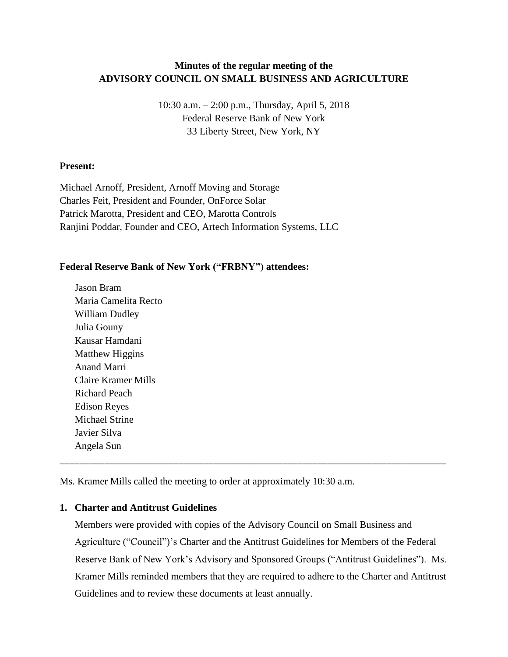# **Minutes of the regular meeting of the ADVISORY COUNCIL ON SMALL BUSINESS AND AGRICULTURE**

10:30 a.m. – 2:00 p.m., Thursday, April 5, 2018 Federal Reserve Bank of New York 33 Liberty Street, New York, NY

#### **Present:**

Michael Arnoff, President, Arnoff Moving and Storage Charles Feit, President and Founder, OnForce Solar Patrick Marotta, President and CEO, Marotta Controls Ranjini Poddar, Founder and CEO, Artech Information Systems, LLC

### **Federal Reserve Bank of New York ("FRBNY") attendees:**

Jason Bram Maria Camelita Recto William Dudley Julia Gouny Kausar Hamdani Matthew Higgins Anand Marri Claire Kramer Mills Richard Peach Edison Reyes Michael Strine Javier Silva Angela Sun

Ms. Kramer Mills called the meeting to order at approximately 10:30 a.m.

### **1. Charter and Antitrust Guidelines**

Members were provided with copies of the Advisory Council on Small Business and Agriculture ("Council")'s Charter and the Antitrust Guidelines for Members of the Federal Reserve Bank of New York's Advisory and Sponsored Groups ("Antitrust Guidelines"). Ms. Kramer Mills reminded members that they are required to adhere to the Charter and Antitrust Guidelines and to review these documents at least annually.

\_\_\_\_\_\_\_\_\_\_\_\_\_\_\_\_\_\_\_\_\_\_\_\_\_\_\_\_\_\_\_\_\_\_\_\_\_\_\_\_\_\_\_\_\_\_\_\_\_\_\_\_\_\_\_\_\_\_\_\_\_\_\_\_\_\_\_\_\_\_\_\_\_\_\_\_\_\_